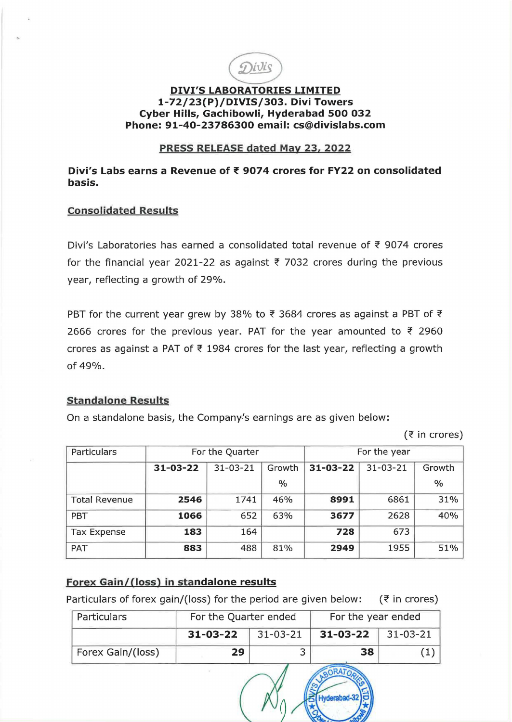

# **DIVl'S LABORATORIES LIMITED 1-72/23(P)/DIVIS/303. Divi Towers Cyber Hills, Gachibowli, Hyderabad 500 032 Phone: 91-40-23786300 email: cs@divislabs.com**

## **PRESS RELEASE dated May 23, 2022**

**Divi's Labs earns a Revenue off 9074 crores for FY22 on consolidated basis.** 

### **Consolidated Results**

Divi's Laboratories has earned a consolidated total revenue of  $\bar{\tau}$  9074 crores for the financial year 2021-22 as against  $\overline{\xi}$  7032 crores during the previous year, reflecting a growth of 29%.

PBT for the current year grew by 38% to  $\bar{\tau}$  3684 crores as against a PBT of  $\bar{\tau}$ 2666 crores for the previous year. PAT for the year amounted to  $\bar{\tau}$  2960 crores as against a PAT of  $\overline{\epsilon}$  1984 crores for the last year, reflecting a growth of 49%.

### **Standalone Results**

On a standalone basis, the Company's earnings are as given below:

 $($ ₹ in crores)

| Particulars          | For the Quarter |                |               | For the year   |                |               |
|----------------------|-----------------|----------------|---------------|----------------|----------------|---------------|
|                      | $31 - 03 - 22$  | $31 - 03 - 21$ | Growth        | $31 - 03 - 22$ | $31 - 03 - 21$ | Growth        |
|                      |                 |                | $\frac{0}{0}$ |                |                | $\frac{0}{0}$ |
| <b>Total Revenue</b> | 2546            | 1741           | 46%           | 8991           | 6861           | 31%           |
| PBT                  | 1066            | 652            | 63%           | 3677           | 2628           | 40%           |
| <b>Tax Expense</b>   | 183             | 164            |               | 728            | 673            |               |
| PAT                  | 883             | 488            | 81%           | 2949           | 1955           | 51%           |

# Forex Gain/(loss) in standalone results

Particulars of forex gain/(loss) for the period are given below:  $(3 \pi)$  ( $\overline{3}$  in crores)

| Particulars       | For the Quarter ended |          | For the year ended |                |  |
|-------------------|-----------------------|----------|--------------------|----------------|--|
|                   | $31 - 03 - 22$        | 31-03-21 | 31-03-22           | $31 - 03 - 21$ |  |
| Forex Gain/(loss) | 29                    |          | 38                 |                |  |

ORATO Hyderabad-32